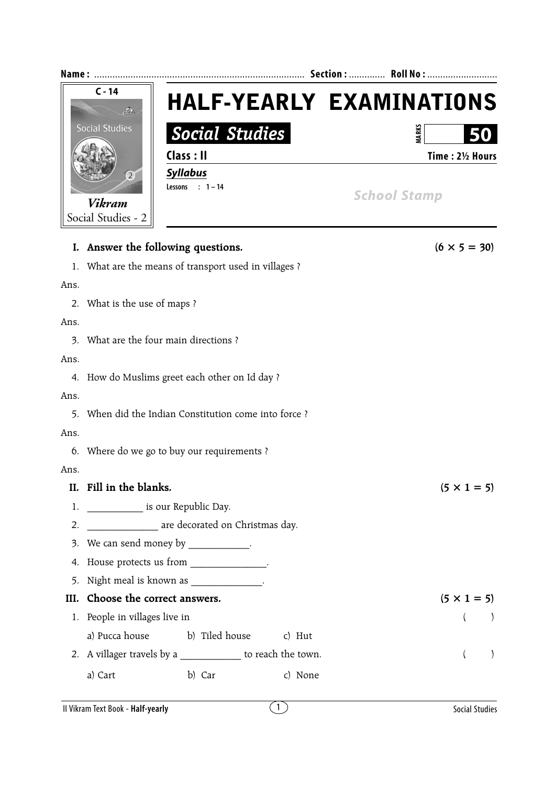

|      | I. Answer the following questions.                          | $(6 \times 5 = 30)$       |  |  |  |  |
|------|-------------------------------------------------------------|---------------------------|--|--|--|--|
|      | 1. What are the means of transport used in villages ?       |                           |  |  |  |  |
| Ans. |                                                             |                           |  |  |  |  |
|      | 2. What is the use of maps ?                                |                           |  |  |  |  |
| Ans. |                                                             |                           |  |  |  |  |
|      | 3. What are the four main directions ?                      |                           |  |  |  |  |
| Ans. |                                                             |                           |  |  |  |  |
|      | 4. How do Muslims greet each other on Id day ?              |                           |  |  |  |  |
| Ans. |                                                             |                           |  |  |  |  |
| 5.   | When did the Indian Constitution come into force ?          |                           |  |  |  |  |
| Ans. |                                                             |                           |  |  |  |  |
|      | 6. Where do we go to buy our requirements ?                 |                           |  |  |  |  |
| Ans. |                                                             |                           |  |  |  |  |
|      | II. Fill in the blanks.                                     | $(5 \times 1 = 5)$        |  |  |  |  |
|      | 1. _______________ is our Republic Day.                     |                           |  |  |  |  |
| 2.   | ________________ are decorated on Christmas day.            |                           |  |  |  |  |
|      | 3. We can send money by ____________.                       |                           |  |  |  |  |
|      | 4. House protects us from _____________.                    |                           |  |  |  |  |
| 5.   | Night meal is known as _____________.                       |                           |  |  |  |  |
| III. | Choose the correct answers.                                 | $(5 \times 1 = 5)$        |  |  |  |  |
|      | 1. People in villages live in                               | $\left($<br>$\rightarrow$ |  |  |  |  |
|      | a) Pucca house<br>b) Tiled house<br>c) Hut                  |                           |  |  |  |  |
|      | 2. A villager travels by a _____________ to reach the town. | $\left($<br>$\mathcal{L}$ |  |  |  |  |
|      | b) Car<br>a) Cart<br>c) None                                |                           |  |  |  |  |
|      |                                                             |                           |  |  |  |  |